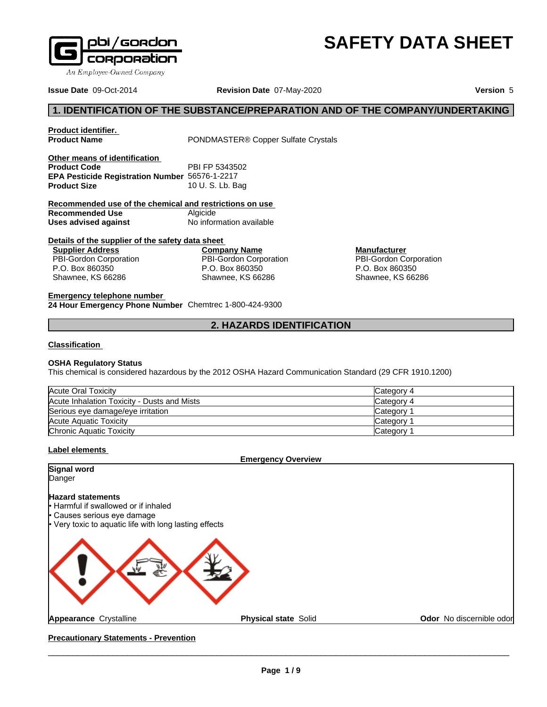

**Other means of identification**

**Product identifier.**

**Issue Date** 09-Oct-2014 **Revision Date** 07-May-2020 **Version** 5

PONDMASTER<sup>®</sup> Copper Sulfate Crystals

# **SAFETY DATA SHEET**

# **1. IDENTIFICATION OF THE SUBSTANCE/PREPARATION AND OF THE COMPANY/UNDERTAKING**

| <b>Product Code</b>                                     | PBI FP 5343502           |                               |  |
|---------------------------------------------------------|--------------------------|-------------------------------|--|
| EPA Pesticide Registration Number 56576-1-2217          |                          |                               |  |
| <b>Product Size</b>                                     | 10 U.S.Lb. Bag           |                               |  |
| Recommended use of the chemical and restrictions on use |                          |                               |  |
| Recommended Use                                         | Algicide                 |                               |  |
| Uses advised against                                    | No information available |                               |  |
| Details of the supplier of the safety data sheet        |                          |                               |  |
| <b>Supplier Address</b>                                 | <b>Company Name</b>      | <b>Manufacturer</b>           |  |
| <b>PBI-Gordon Corporation</b>                           | PBI-Gordon Corporation   | <b>PBI-Gordon Corporation</b> |  |
| P.O. Box 860350                                         | P.O. Box 860350          | P.O. Box 860350               |  |
| Shawnee, KS 66286                                       | Shawnee, KS 66286        | Shawnee, KS 66286             |  |
| Emarganau talankana numbar                              |                          |                               |  |

**Emergency telephone number 24 Hour Emergency Phone Number** Chemtrec 1-800-424-9300

**2. HAZARDS IDENTIFICATION**

#### **Classification**

#### **OSHA Regulatory Status**

This chemical is considered hazardous by the 2012 OSHA Hazard Communication Standard (29 CFR 1910.1200)

| Acute Oral Toxicity                         | Category 4 |
|---------------------------------------------|------------|
| Acute Inhalation Toxicity - Dusts and Mists | Category 4 |
| Serious eye damage/eye irritation           | Category   |
| Acute Aquatic Toxicity                      | Category   |
| Chronic Aquatic Toxicity                    | Category   |

#### **Label elements**

**Emergency Overview**

**Signal word Danger** 

#### **Hazard statements**

**Harmful if swallowed or if inhaled** Causes serious eye damage Very toxic to aquatic life with long lasting effects



**Appearance** Crystalline **Physical state** Solid

**Odor** No discernible odor

**Precautionary Statements - Prevention**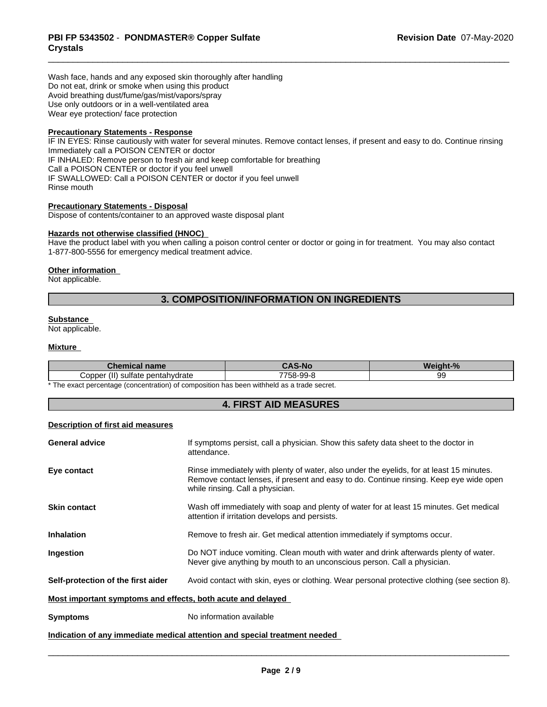Wash face, hands and any exposed skin thoroughly after handling Do not eat, drink or smoke when using this product Avoid breathing dust/fume/gas/mist/vapors/spray Use only outdoors or in a well-ventilated area Wear eye protection/ face protection

# **Precautionary Statements - Response**

IF IN EYES: Rinse cautiously with water for several minutes. Remove contact lenses, if present and easy to do. Continue rinsing Immediately call a POISON CENTER or doctor IF INHALED: Remove person to fresh air and keep comfortable for breathing Call a POISON CENTER or doctor if you feel unwell IF SWALLOWED: Call a POISON CENTER or doctor if you feel unwell Rinse mouth

#### **Precautionary Statements - Disposal**

Dispose of contents/container to an approved waste disposal plant

#### **Hazards not otherwise classified (HNOC)**

Have the product label with you when calling a poison control center or doctor or going in for treatment. You may also contact 1-877-800-5556 for emergency medical treatment advice.

#### **Other information**

Not applicable.

# **3. COMPOSITION/INFORMATION ON INGREDIENTS**

#### **Substance**

Not applicable.

#### **Mixture**

| name<br>________                           | Νr                                   | - -                       |
|--------------------------------------------|--------------------------------------|---------------------------|
| $\cdots$<br>`∩nnar<br>drate<br>атє<br>ັບບບ | $- - - -$<br>$\sim$<br>- -<br>$\sim$ | $\ddot{\phantom{m}}$<br>ັ |

\* The exact percentage (concentration) of composition has been withheld as a trade secret.

### **4. FIRST AID MEASURES**

### **Description of first aid measures**

| <b>General advice</b>                                       | If symptoms persist, call a physician. Show this safety data sheet to the doctor in<br>attendance.                                                                                                                     |
|-------------------------------------------------------------|------------------------------------------------------------------------------------------------------------------------------------------------------------------------------------------------------------------------|
| Eye contact                                                 | Rinse immediately with plenty of water, also under the eyelids, for at least 15 minutes.<br>Remove contact lenses, if present and easy to do. Continue rinsing. Keep eye wide open<br>while rinsing. Call a physician. |
| <b>Skin contact</b>                                         | Wash off immediately with soap and plenty of water for at least 15 minutes. Get medical<br>attention if irritation develops and persists.                                                                              |
| <b>Inhalation</b>                                           | Remove to fresh air. Get medical attention immediately if symptoms occur.                                                                                                                                              |
| Ingestion                                                   | Do NOT induce vomiting. Clean mouth with water and drink afterwards plenty of water.<br>Never give anything by mouth to an unconscious person. Call a physician.                                                       |
| Self-protection of the first aider                          | Avoid contact with skin, eyes or clothing. Wear personal protective clothing (see section 8).                                                                                                                          |
| Most important symptoms and effects, both acute and delayed |                                                                                                                                                                                                                        |
| <b>Symptoms</b>                                             | No information available                                                                                                                                                                                               |
|                                                             | Indication of any immediate medical attention and special treatment needed                                                                                                                                             |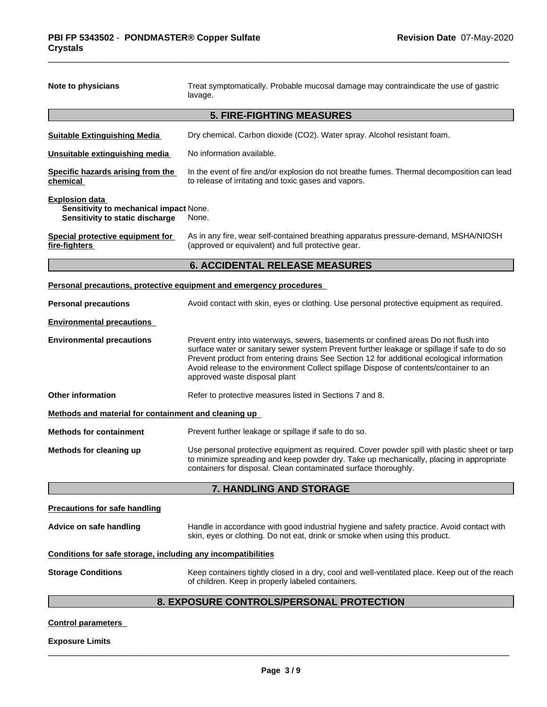| Note to physicians                                                                                 | Treat symptomatically. Probable mucosal damage may contraindicate the use of gastric<br>lavage.                                                                                                                                                                                                                                                                                                           |  |
|----------------------------------------------------------------------------------------------------|-----------------------------------------------------------------------------------------------------------------------------------------------------------------------------------------------------------------------------------------------------------------------------------------------------------------------------------------------------------------------------------------------------------|--|
|                                                                                                    | <b>5. FIRE-FIGHTING MEASURES</b>                                                                                                                                                                                                                                                                                                                                                                          |  |
| <b>Suitable Extinguishing Media</b>                                                                | Dry chemical. Carbon dioxide (CO2). Water spray. Alcohol resistant foam.                                                                                                                                                                                                                                                                                                                                  |  |
| Unsuitable extinguishing media                                                                     | No information available.                                                                                                                                                                                                                                                                                                                                                                                 |  |
| Specific hazards arising from the<br>chemical                                                      | In the event of fire and/or explosion do not breathe fumes. Thermal decomposition can lead<br>to release of irritating and toxic gases and vapors.                                                                                                                                                                                                                                                        |  |
| <b>Explosion data</b><br>Sensitivity to mechanical impact None.<br>Sensitivity to static discharge | None.                                                                                                                                                                                                                                                                                                                                                                                                     |  |
| Special protective equipment for<br>fire-fighters                                                  | As in any fire, wear self-contained breathing apparatus pressure-demand, MSHA/NIOSH<br>(approved or equivalent) and full protective gear.                                                                                                                                                                                                                                                                 |  |
|                                                                                                    | <b>6. ACCIDENTAL RELEASE MEASURES</b>                                                                                                                                                                                                                                                                                                                                                                     |  |
|                                                                                                    | Personal precautions, protective equipment and emergency procedures                                                                                                                                                                                                                                                                                                                                       |  |
| <b>Personal precautions</b>                                                                        | Avoid contact with skin, eyes or clothing. Use personal protective equipment as required.                                                                                                                                                                                                                                                                                                                 |  |
| <b>Environmental precautions</b>                                                                   |                                                                                                                                                                                                                                                                                                                                                                                                           |  |
| <b>Environmental precautions</b>                                                                   | Prevent entry into waterways, sewers, basements or confined areas Do not flush into<br>surface water or sanitary sewer system Prevent further leakage or spillage if safe to do so<br>Prevent product from entering drains See Section 12 for additional ecological information<br>Avoid release to the environment Collect spillage Dispose of contents/container to an<br>approved waste disposal plant |  |
| <b>Other information</b>                                                                           | Refer to protective measures listed in Sections 7 and 8.                                                                                                                                                                                                                                                                                                                                                  |  |
| Methods and material for containment and cleaning up                                               |                                                                                                                                                                                                                                                                                                                                                                                                           |  |
| <b>Methods for containment</b>                                                                     | Prevent further leakage or spillage if safe to do so.                                                                                                                                                                                                                                                                                                                                                     |  |
| Methods for cleaning up                                                                            | Use personal protective equipment as required. Cover powder spill with plastic sheet or tarp<br>to minimize spreading and keep powder dry. Take up mechanically, placing in appropriate                                                                                                                                                                                                                   |  |
|                                                                                                    | containers for disposal. Clean contaminated surface thoroughly.                                                                                                                                                                                                                                                                                                                                           |  |

**Advice on safe handling** Handle in accordance with good industrial hygiene and safety practice. Avoid contact with skin, eyes or clothing. Do not eat, drink or smoke when using this product.

## **Conditions for safe storage, including any incompatibilities**

**Storage Conditions** Keep containers tightly closed in a dry, cool and well-ventilated place. Keep out of the reach of children. Keep in properly labeled containers.

# **8. EXPOSURE CONTROLS/PERSONAL PROTECTION**

#### **Control parameters**

#### **Exposure Limits**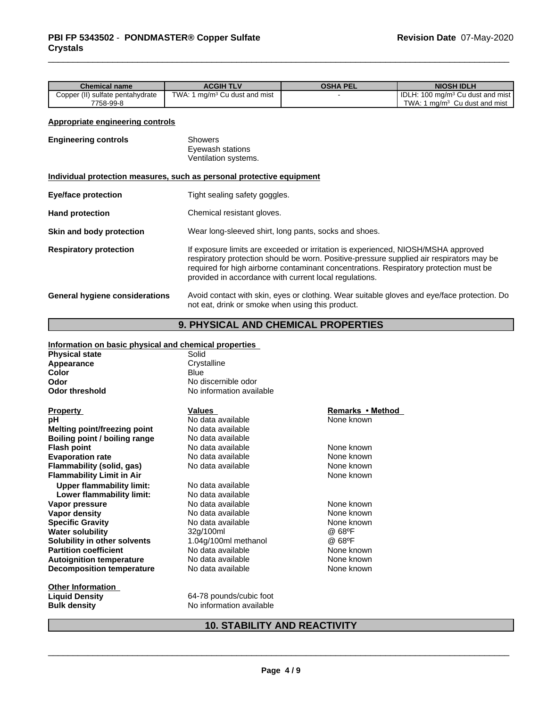| <b>Chemical name</b>                 |                                       |                  |                 |                                                  |
|--------------------------------------|---------------------------------------|------------------|-----------------|--------------------------------------------------|
|                                      |                                       | <b>ACGIH TLV</b> | <b>OSHA PEL</b> | <b>NIOSH IDLH</b>                                |
| 1 ma/m <sup>3</sup> Cu dust and mist | Copper (II)<br>) sulfate pentahydrate | TWA: 1           |                 | I IDLH: 100 mg/m <sup>3</sup> Cu dust and mist I |
| TWA.<br>7758-99-8                    |                                       |                  |                 | 1 ma/m <sup>3</sup> Cu dust and mist             |

#### **Appropriate engineering controls**

| <b>Engineering controls</b>           | Showers<br>Eyewash stations<br>Ventilation systems.                                                                                                                                                                                                                                                                              |  |
|---------------------------------------|----------------------------------------------------------------------------------------------------------------------------------------------------------------------------------------------------------------------------------------------------------------------------------------------------------------------------------|--|
|                                       | Individual protection measures, such as personal protective equipment                                                                                                                                                                                                                                                            |  |
| <b>Eye/face protection</b>            | Tight sealing safety goggles.                                                                                                                                                                                                                                                                                                    |  |
| <b>Hand protection</b>                | Chemical resistant gloves.                                                                                                                                                                                                                                                                                                       |  |
| Skin and body protection              | Wear long-sleeved shirt, long pants, socks and shoes.                                                                                                                                                                                                                                                                            |  |
| <b>Respiratory protection</b>         | If exposure limits are exceeded or irritation is experienced, NIOSH/MSHA approved<br>respiratory protection should be worn. Positive-pressure supplied air respirators may be<br>required for high airborne contaminant concentrations. Respiratory protection must be<br>provided in accordance with current local regulations. |  |
| <b>General hygiene considerations</b> | Avoid contact with skin, eyes or clothing. Wear suitable gloves and eye/face protection. Do<br>not eat, drink or smoke when using this product.                                                                                                                                                                                  |  |

# **9. PHYSICAL AND CHEMICAL PROPERTIES**

#### **Information on basic physical and chemical properties**

| <b>Physical state</b> | Solid       |
|-----------------------|-------------|
| Appearance            | Crystalline |

| Color                            | Blue                     |                  |
|----------------------------------|--------------------------|------------------|
| Odor                             | No discernible odor      |                  |
| Odor threshold                   | No information available |                  |
| Property                         | Values                   | Remarks • Method |
| pН                               | No data available        | None known       |
| Melting point/freezing point     | No data available        |                  |
| Boiling point / boiling range    | No data available        |                  |
| Flash point                      | No data available        | None known       |
| <b>Evaporation rate</b>          | No data available        | None known       |
| Flammability (solid, gas)        | No data available        | None known       |
| Flammability Limit in Air        |                          | None known       |
| Upper flammability limit:        | No data available        |                  |
| Lower flammability limit:        | No data available        |                  |
| Vapor pressure                   | No data available        | None known       |
| Vapor densitv                    | No data available        | None known       |
| <b>Specific Gravity</b>          | No data available        | None known       |
| Water solubility                 | 32g/100ml                | @ 68ºF           |
| Solubility in other solvents     | 1.04g/100ml methanol     | @ 68°F           |
| <b>Partition coefficient</b>     | No data available        | None known       |
| <b>Autoignition temperature</b>  | No data available        | None known       |
| <b>Decomposition temperature</b> | No data available        | None known       |
| Other Information                |                          |                  |

Extra Termin Liquid Density<br> **Liquid Density**<br>
Bulk density<br> **CALC Bulk density**<br> **CALC Bulk density**<br>
No information available **Bulk density** No information available

# **10. STABILITY AND REACTIVITY**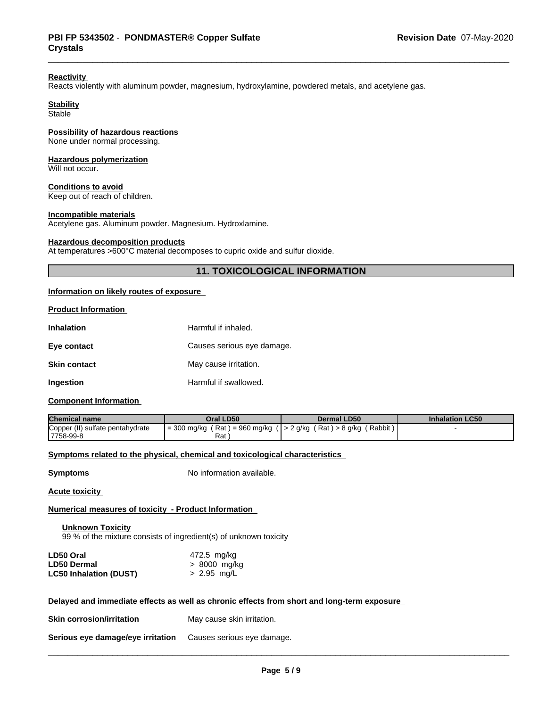#### **Reactivity**

Reacts violently with aluminum powder, magnesium, hydroxylamine, powdered metals, and acetylene gas.

# **Stability**

**Stable** 

# **Possibility of hazardous reactions**

None under normal processing.

#### **Hazardous polymerization**

Will not occur.

# **Conditions to avoid**

Keep out of reach of children.

#### **Incompatible materials**

Acetylene gas. Aluminum powder. Magnesium. Hydroxlamine.

#### **Hazardous decomposition products**

At temperatures >600°C material decomposes to cupric oxide and sulfur dioxide.

## **11. TOXICOLOGICAL INFORMATION**

#### **Information on likely routes of exposure**

| <b>Product Information</b> |                            |
|----------------------------|----------------------------|
| <b>Inhalation</b>          | Harmful if inhaled.        |
| Eye contact                | Causes serious eye damage. |
| <b>Skin contact</b>        | May cause irritation.      |
| Ingestion                  | Harmful if swallowed.      |

#### **Component Information**

| <b>Chemical name</b>             | Oral LD50                         | Dermal LD50                                 | <b>Inhalation LC50</b> |
|----------------------------------|-----------------------------------|---------------------------------------------|------------------------|
| Copper (II) sulfate pentahydrate | $=$ 300 mg/kg (Rat) = 960 mg/kg ( | (Rabbit)<br>$($ $>$ 2 g/kg (Rat) $>$ 8 g/kg |                        |
| 17758-99-8                       | Rat                               |                                             |                        |

#### **Symptoms** related to the physical, chemical and toxicological characteristics

**Symptoms** No information available.

**Acute toxicity**

#### **Numerical measures of toxicity - Product Information**

**Unknown Toxicity** 99 % of the mixture consists of ingredient(s) of unknown toxicity

| LD50 Oral                     | 472.5 mg/kg   |
|-------------------------------|---------------|
| <b>LD50 Dermal</b>            | > 8000 mg/kg  |
| <b>LC50 Inhalation (DUST)</b> | $> 2.95$ mg/L |

#### **Delayed and immediate effects as well as chronic effects from short and long-term exposure**

| <b>Skin corrosion/irritation</b>  | May cause skin irritation. |
|-----------------------------------|----------------------------|
| Serious eye damage/eye irritation | Causes serious eye damage. |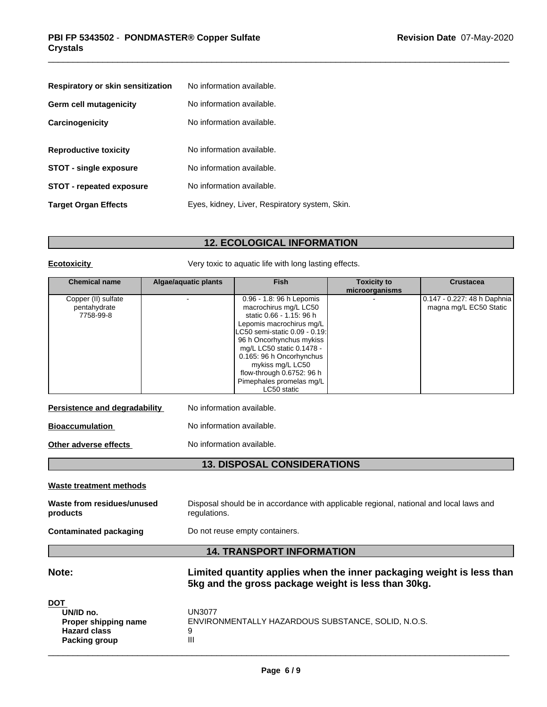| Respiratory or skin sensitization | No information available.                      |
|-----------------------------------|------------------------------------------------|
| <b>Germ cell mutagenicity</b>     | No information available.                      |
| Carcinogenicity                   | No information available.                      |
| <b>Reproductive toxicity</b>      | No information available.                      |
| <b>STOT - single exposure</b>     | No information available.                      |
| STOT - repeated exposure          | No information available.                      |
| <b>Target Organ Effects</b>       | Eyes, kidney, Liver, Respiratory system, Skin. |

# **12. ECOLOGICAL INFORMATION**

**Ecotoxicity Very toxic to aquatic life with long lasting effects.** 

| <b>Chemical name</b>                             | Algae/aquatic plants | <b>Fish</b>                                                                                                                                                                                                                                                                                                                   | <b>Toxicity to</b><br>microorganisms | <b>Crustacea</b>                                      |
|--------------------------------------------------|----------------------|-------------------------------------------------------------------------------------------------------------------------------------------------------------------------------------------------------------------------------------------------------------------------------------------------------------------------------|--------------------------------------|-------------------------------------------------------|
| Copper (II) sulfate<br>pentahydrate<br>7758-99-8 |                      | 0.96 - 1.8: 96 h Lepomis<br>macrochirus mg/L LC50<br>static 0.66 - 1.15: 96 h<br>Lepomis macrochirus mg/L<br>ILC50 semi-static 0.09 - 0.19:l<br>96 h Oncorhynchus mykiss<br>mg/L LC50 static 0.1478 -<br>0.165: 96 h Oncorhynchus<br>mykiss mg/L LC50<br>flow-through 0.6752: 96 h<br>Pimephales promelas mg/L<br>LC50 static |                                      | 0.147 - 0.227: 48 h Daphnia<br>magna mg/L EC50 Static |

| Persistence and degradability | No information available. |
|-------------------------------|---------------------------|
| Bioaccumulation               | No information available. |
|                               |                           |

**Other adverse effects** No information available.

**13. DISPOSAL CONSIDERATIONS**

#### **Waste treatment methods**

| Waste from residues/unused | Disposal should be in accordance with applicable regional, national and local laws and |
|----------------------------|----------------------------------------------------------------------------------------|
| products                   | regulations.                                                                           |

**Contaminated packaging** Do not reuse empty containers.

# **14. TRANSPORT INFORMATION**

**Note: Limited quantity applies when the inner packaging weight is less than 5kg and the gross package weight is less than 30kg.**

| <b>DOT</b>           |                                                    |
|----------------------|----------------------------------------------------|
| UN/ID no.            | UN3077                                             |
| Proper shipping name | ENVIRONMENTALLY HAZARDOUS SUBSTANCE, SOLID, N.O.S. |
| <b>Hazard class</b>  | 9                                                  |
| Packing group        | Ш                                                  |
|                      |                                                    |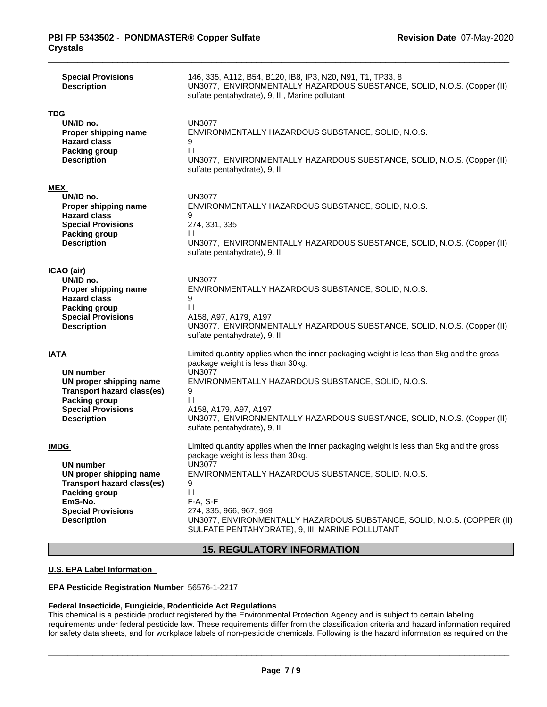| <b>Special Provisions</b><br><b>Description</b>                                                                                                                                | 146, 335, A112, B54, B120, IB8, IP3, N20, N91, T1, TP33, 8<br>UN3077, ENVIRONMENTALLY HAZARDOUS SUBSTANCE, SOLID, N.O.S. (Copper (II)<br>sulfate pentahydrate), 9, III, Marine pollutant                                                                                                                                                                                      |
|--------------------------------------------------------------------------------------------------------------------------------------------------------------------------------|-------------------------------------------------------------------------------------------------------------------------------------------------------------------------------------------------------------------------------------------------------------------------------------------------------------------------------------------------------------------------------|
| <b>TDG</b><br>UN/ID no.<br>Proper shipping name<br><b>Hazard class</b><br><b>Packing group</b><br><b>Description</b>                                                           | <b>UN3077</b><br>ENVIRONMENTALLY HAZARDOUS SUBSTANCE, SOLID, N.O.S.<br>9<br>$\mathbf{III}$<br>UN3077, ENVIRONMENTALLY HAZARDOUS SUBSTANCE, SOLID, N.O.S. (Copper (II)<br>sulfate pentahydrate), 9, III                                                                                                                                                                        |
| <b>MEX</b><br>UN/ID no.<br>Proper shipping name<br><b>Hazard class</b><br><b>Special Provisions</b><br><b>Packing group</b><br><b>Description</b>                              | UN3077<br>ENVIRONMENTALLY HAZARDOUS SUBSTANCE, SOLID, N.O.S.<br>9<br>274, 331, 335<br>Ш<br>UN3077, ENVIRONMENTALLY HAZARDOUS SUBSTANCE, SOLID, N.O.S. (Copper (II)<br>sulfate pentahydrate), 9, III                                                                                                                                                                           |
| ICAO (air)<br>UN/ID no.<br>Proper shipping name<br><b>Hazard class</b><br><b>Packing group</b><br><b>Special Provisions</b><br><b>Description</b>                              | <b>UN3077</b><br>ENVIRONMENTALLY HAZARDOUS SUBSTANCE, SOLID, N.O.S.<br>9<br>Ш<br>A158, A97, A179, A197<br>UN3077, ENVIRONMENTALLY HAZARDOUS SUBSTANCE, SOLID, N.O.S. (Copper (II)<br>sulfate pentahydrate), 9, III                                                                                                                                                            |
| <b>IATA</b><br><b>UN number</b><br>UN proper shipping name<br><b>Transport hazard class(es)</b><br><b>Packing group</b><br><b>Special Provisions</b><br><b>Description</b>     | Limited quantity applies when the inner packaging weight is less than 5kg and the gross<br>package weight is less than 30kg.<br><b>UN3077</b><br>ENVIRONMENTALLY HAZARDOUS SUBSTANCE, SOLID, N.O.S.<br>9<br>III<br>A158, A179, A97, A197<br>UN3077, ENVIRONMENTALLY HAZARDOUS SUBSTANCE, SOLID, N.O.S. (Copper (II)<br>sulfate pentahydrate), 9, III                          |
| <b>IMDG</b><br>UN number<br>UN proper shipping name<br><b>Transport hazard class(es)</b><br><b>Packing group</b><br>EmS-No.<br><b>Special Provisions</b><br><b>Description</b> | Limited quantity applies when the inner packaging weight is less than 5kg and the gross<br>package weight is less than 30kg.<br>UN3077<br>ENVIRONMENTALLY HAZARDOUS SUBSTANCE, SOLID, N.O.S.<br>9<br>Ш<br>$F-A, S-F$<br>274, 335, 966, 967, 969<br>UN3077, ENVIRONMENTALLY HAZARDOUS SUBSTANCE, SOLID, N.O.S. (COPPER (II)<br>SULFATE PENTAHYDRATE), 9, III, MARINE POLLUTANT |

# **15. REGULATORY INFORMATION**

### **U.S. EPA Label Information**

#### **EPA Pesticide Registration Number** 56576-1-2217

#### **Federal Insecticide, Fungicide, Rodenticide Act Regulations**

This chemical is a pesticide product registered by the Environmental Protection Agency and is subject to certain labeling requirements under federal pesticide law. These requirements differ from the classification criteria and hazard information required for safety data sheets, and for workplace labels of non-pesticide chemicals. Following is the hazard information as required on the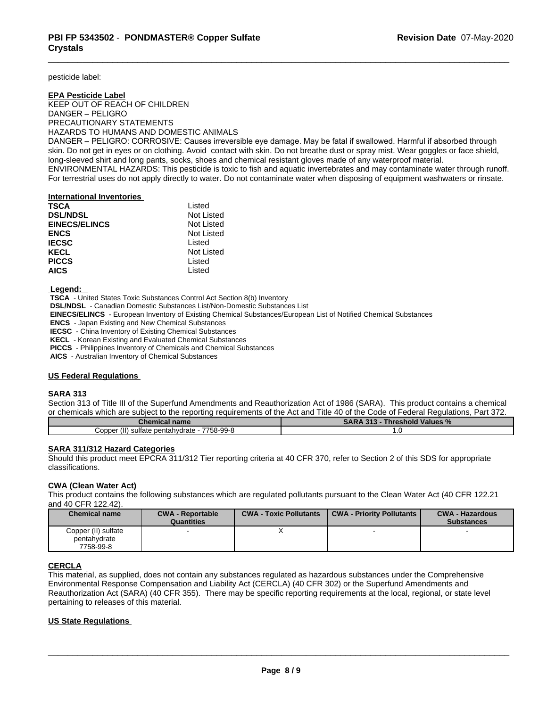pesticide label:

## **EPA Pesticide Label** KEEP OUT OF REACH OF CHILDREN DANGER–PELIGRO PRECAUTIONARY STATEMENTS HAZARDS TO HUMANS AND DOMESTIC ANIMALS

DANGER – PELIGRO: CORROSIVE: Causes irreversible eye damage. May be fatal if swallowed. Harmful if absorbed through skin. Do not get in eyes or on clothing. Avoid contact with skin. Do not breathe dust or spray mist. Wear goggles or face shield, long-sleeved shirt and long pants, socks, shoes and chemical resistant gloves made of any waterproof material. ENVIRONMENTAL HAZARDS: This pesticide is toxic to fish and aquatic invertebrates and may contaminate water through runoff. For terrestrial uses do not apply directly to water. Do not contaminate water when disposing of equipment washwaters or rinsate.

#### **International Inventories**

| <b>TSCA</b>          | Listed     |  |
|----------------------|------------|--|
| <b>DSL/NDSL</b>      | Not Listed |  |
| <b>EINECS/ELINCS</b> | Not Listed |  |
| <b>ENCS</b>          | Not Listed |  |
| <b>IECSC</b>         | Listed     |  |
| KECL                 | Not Listed |  |
| <b>PICCS</b>         | Listed     |  |
| <b>AICS</b>          | Listed     |  |
|                      |            |  |

 **Legend:** 

 **TSCA** - United States Toxic Substances Control Act Section 8(b) Inventory

 **DSL/NDSL** - Canadian Domestic Substances List/Non-Domestic Substances List

 **EINECS/ELINCS** - European Inventory of Existing Chemical Substances/European List of Notified Chemical Substances

 **ENCS** - Japan Existing and New Chemical Substances

 **IECSC** - China Inventory of Existing Chemical Substances

 **KECL** - Korean Existing and Evaluated Chemical Substances

 **PICCS** - Philippines Inventory of Chemicals and Chemical Substances

 **AICS** - Australian Inventory of Chemical Substances

#### **US Federal Regulations**

#### **SARA 313**

Section 313 of Title III of the Superfund Amendments and Reauthorization Act of 1986 (SARA). This product contains a chemical or chemicals which are subject to the reporting requirements of the Act and Title 40 of the Code of Federal Regulations, Part 372.

| memical name                                                                   | 54.5<br>SΔ<br>Values %<br><b>Inresnoid</b> |
|--------------------------------------------------------------------------------|--------------------------------------------|
| 7758-99-8<br>$\prime\cdots$<br>'oppe:<br>sultate<br>ำentahvdrate<br>oentanyr . | ں ا                                        |

#### **SARA 311/312 Hazard Categories**

Should this product meet EPCRA 311/312 Tier reporting criteria at 40 CFR 370, refer to Section 2 of this SDS for appropriate classifications.

# **CWA (Clean WaterAct)**

This product contains the following substances which are regulated pollutants pursuant to the Clean Water Act (40 CFR 122.21 and 40 CFR 122.42).

| <b>Chemical name</b>                | <b>CWA - Reportable</b><br>Quantities | <b>CWA - Toxic Pollutants</b> | <b>CWA - Priority Pollutants</b> | <b>CWA - Hazardous</b><br><b>Substances</b> |
|-------------------------------------|---------------------------------------|-------------------------------|----------------------------------|---------------------------------------------|
| Copper (II) sulfate<br>pentahydrate |                                       |                               |                                  |                                             |
| 7758-99-8                           |                                       |                               |                                  |                                             |

#### **CERCLA**

This material, as supplied, does not contain any substances regulated as hazardous substances under the Comprehensive Environmental Response Compensation and Liability Act (CERCLA) (40 CFR 302) or the Superfund Amendments and Reauthorization Act (SARA) (40 CFR 355). There may be specific reporting requirements at the local, regional, or state level pertaining to releases of this material.

#### **US State Regulations**